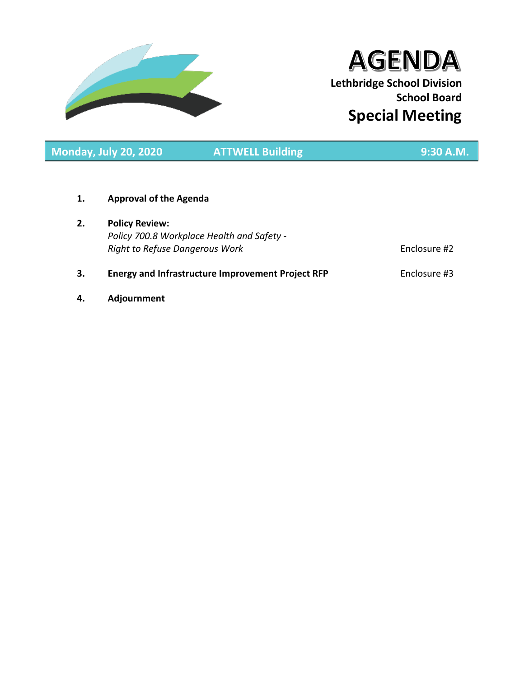

# **AGENDA Lethbridge School Division School Board Special Meeting**

**Monday, July 20, 2020 ATTWELL Building 9:30 A.M.**

**1. Approval of the Agenda**

**2. Policy Review:** *Policy 700.8 Workplace Health and Safety - Right to Refuse Dangerous Work* **Enclosure #2** 

# **3. Energy and Infrastructure Improvement Project RFP** Enclosure #3

**4. Adjournment**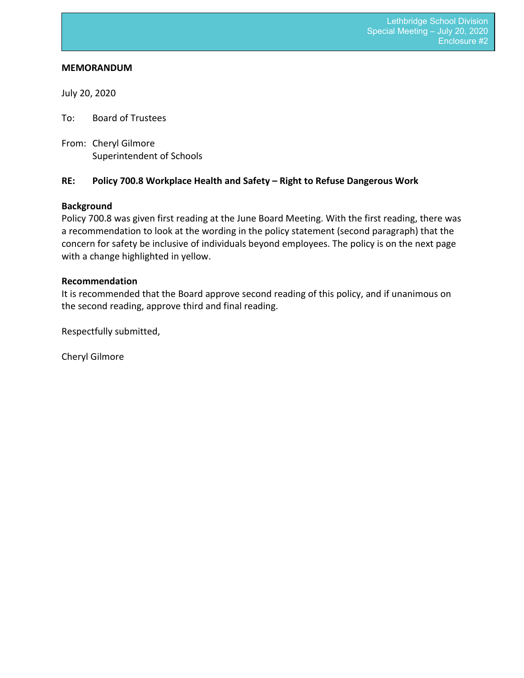#### **MEMORANDUM**

July 20, 2020

To: Board of Trustees

From: Cheryl Gilmore Superintendent of Schools

# **RE: Policy 700.8 Workplace Health and Safety – Right to Refuse Dangerous Work**

# **Background**

Policy 700.8 was given first reading at the June Board Meeting. With the first reading, there was a recommendation to look at the wording in the policy statement (second paragraph) that the concern for safety be inclusive of individuals beyond employees. The policy is on the next page with a change highlighted in yellow.

# **Recommendation**

It is recommended that the Board approve second reading of this policy, and if unanimous on the second reading, approve third and final reading.

Respectfully submitted,

Cheryl Gilmore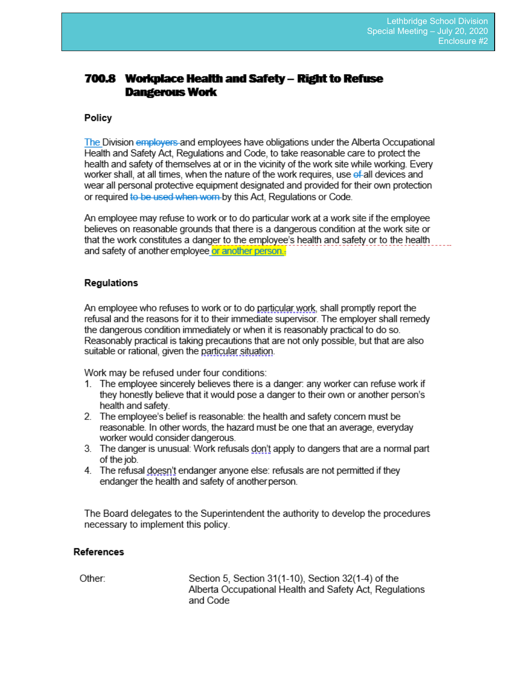# **700.8 Workplace Health and Safety – Right to Refuse Dangerous Work**

# Policy

The Division employers and employees have obligations under the Alberta Occupational Health and Safety Act. Regulations and Code, to take reasonable care to protect the health and safety of themselves at or in the vicinity of the work site while working. Every worker shall, at all times, when the nature of the work requires, use of all devices and wear all personal protective equipment designated and provided for their own protection or required to be used when worn by this Act. Requlations or Code.

An employee may refuse to work or to do particular work at a work site if the employee believes on reasonable grounds that there is a dangerous condition at the work site or that the work constitutes a danger to the employee's health and safety or to the health and safety of another employee or another person.

# **Regulations**

An employee who refuses to work or to do particular work, shall promptly report the refusal and the reasons for it to their immediate supervisor. The employer shall remedy the dangerous condition immediately or when it is reasonably practical to do so. Reasonably practical is taking precautions that are not only possible, but that are also suitable or rational, given the particular situation.

Work may be refused under four conditions:

- 1. The employee sincerely believes there is a danger: any worker can refuse work if they honestly believe that it would pose a danger to their own or another person's health and safety.
- 2. The employee's belief is reasonable: the health and safety concern must be reasonable. In other words, the hazard must be one that an average, everyday worker would consider dangerous.
- 3. The danger is unusual: Work refusals don't apply to dangers that are a normal part of the job.
- 4. The refusal doesn't endanger anyone else: refusals are not permitted if they endanger the health and safety of another person.

The Board delegates to the Superintendent the authority to develop the procedures necessary to implement this policy.

#### References

Other:

Section 5, Section 31(1-10), Section 32(1-4) of the Alberta Occupational Health and Safety Act. Regulations and Code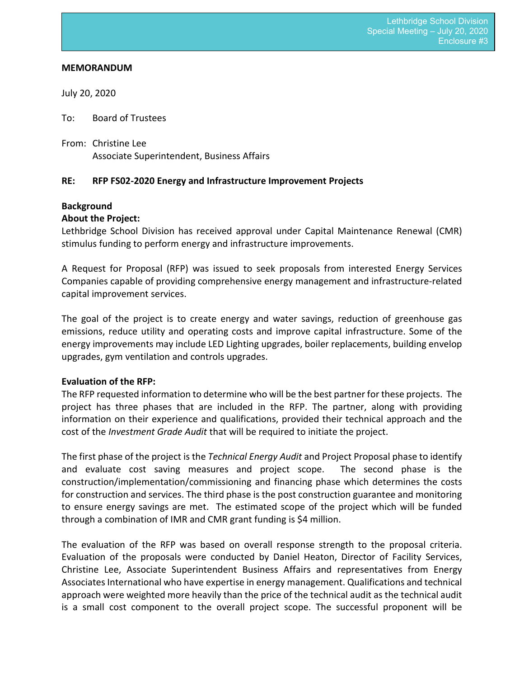#### **MEMORANDUM**

July 20, 2020

To: Board of Trustees

From: Christine Lee Associate Superintendent, Business Affairs

# **RE: RFP FS02-2020 Energy and Infrastructure Improvement Projects**

# **Background**

# **About the Project:**

Lethbridge School Division has received approval under Capital Maintenance Renewal (CMR) stimulus funding to perform energy and infrastructure improvements.

A Request for Proposal (RFP) was issued to seek proposals from interested Energy Services Companies capable of providing comprehensive energy management and infrastructure-related capital improvement services.

The goal of the project is to create energy and water savings, reduction of greenhouse gas emissions, reduce utility and operating costs and improve capital infrastructure. Some of the energy improvements may include LED Lighting upgrades, boiler replacements, building envelop upgrades, gym ventilation and controls upgrades.

# **Evaluation of the RFP:**

The RFP requested information to determine who will be the best partner for these projects. The project has three phases that are included in the RFP. The partner, along with providing information on their experience and qualifications, provided their technical approach and the cost of the *Investment Grade Audit* that will be required to initiate the project.

The first phase of the project is the *Technical Energy Audit* and Project Proposal phase to identify and evaluate cost saving measures and project scope. The second phase is the construction/implementation/commissioning and financing phase which determines the costs for construction and services. The third phase is the post construction guarantee and monitoring to ensure energy savings are met. The estimated scope of the project which will be funded through a combination of IMR and CMR grant funding is \$4 million.

The evaluation of the RFP was based on overall response strength to the proposal criteria. Evaluation of the proposals were conducted by Daniel Heaton, Director of Facility Services, Christine Lee, Associate Superintendent Business Affairs and representatives from Energy Associates International who have expertise in energy management. Qualifications and technical approach were weighted more heavily than the price of the technical audit as the technical audit is a small cost component to the overall project scope. The successful proponent will be